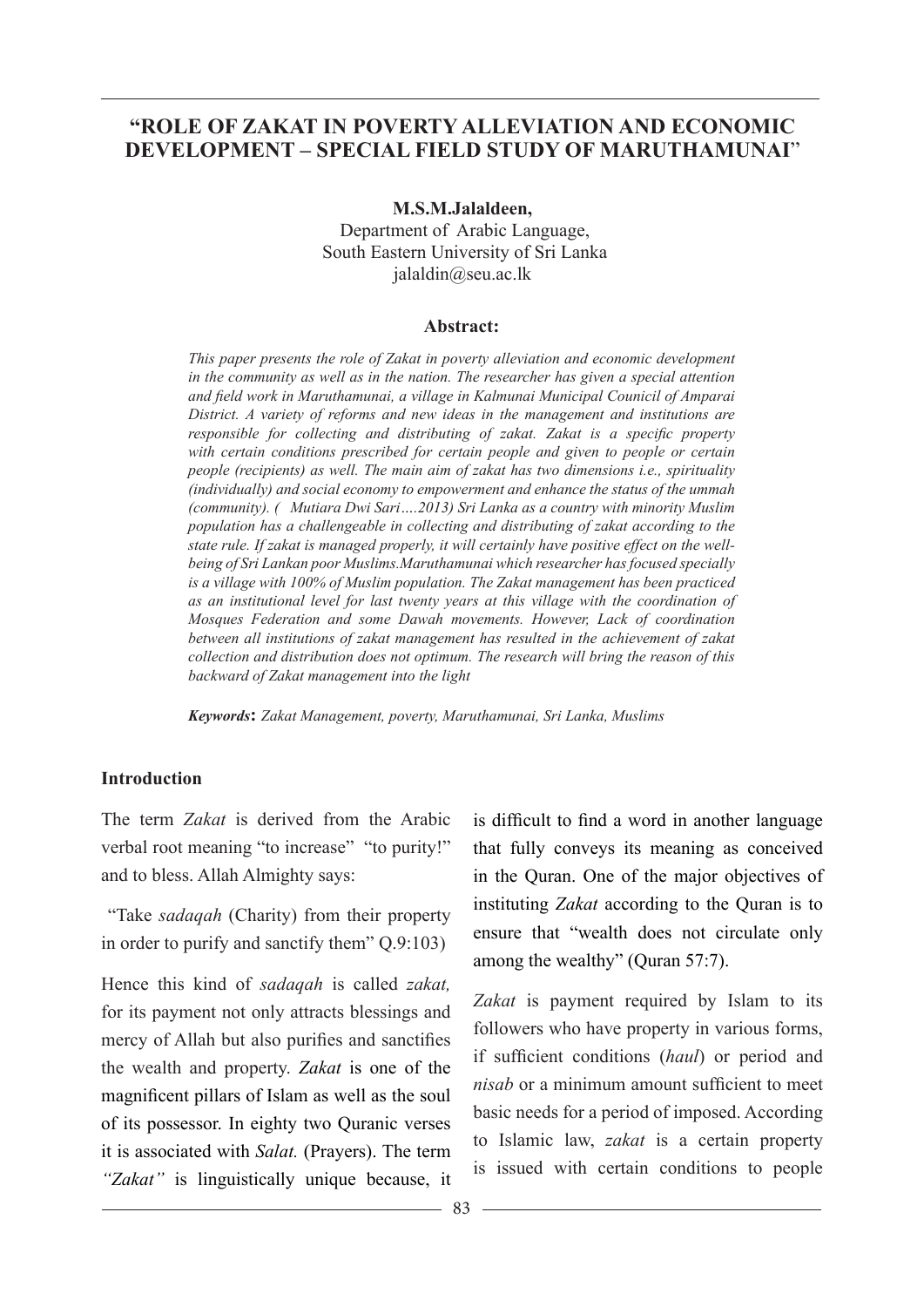#### **"ROLE OF ZAKAT IN POVERTY ALLEVIATION AND ECONOMIC DEVELOPMENT – SPECIAL FIELD STUDY OF MARUTHAMUNAI**"

**M.S.M.Jalaldeen,**  Department of Arabic Language, South Eastern University of Sri Lanka jalaldin@seu.ac.lk

#### **Abstract:**

*This paper presents the role of Zakat in poverty alleviation and economic development in the community as well as in the nation. The researcher has given a special attention and field work in Maruthamunai, a village in Kalmunai Municipal Counicil of Amparai District. A variety of reforms and new ideas in the management and institutions are responsible for collecting and distributing of zakat. Zakat is a specific property with certain conditions prescribed for certain people and given to people or certain people (recipients) as well. The main aim of zakat has two dimensions i.e., spirituality (individually) and social economy to empowerment and enhance the status of the ummah (community). ( Mutiara Dwi Sari….2013) Sri Lanka as a country with minority Muslim population has a challengeable in collecting and distributing of zakat according to the state rule. If zakat is managed properly, it will certainly have positive effect on the wellbeing of Sri Lankan poor Muslims.Maruthamunai which researcher has focused specially is a village with 100% of Muslim population. The Zakat management has been practiced as an institutional level for last twenty years at this village with the coordination of Mosques Federation and some Dawah movements. However, Lack of coordination between all institutions of zakat management has resulted in the achievement of zakat collection and distribution does not optimum. The research will bring the reason of this backward of Zakat management into the light*

*Keywords***:** *Zakat Management, poverty, Maruthamunai, Sri Lanka, Muslims*

#### **Introduction**

The term *Zakat* is derived from the Arabic verbal root meaning "to increase" "to purity!" and to bless. Allah Almighty says:

 "Take *sadaqah* (Charity) from their property in order to purify and sanctify them" Q.9:103)

Hence this kind of *sadaqah* is called *zakat,*  for its payment not only attracts blessings and mercy of Allah but also purifies and sanctifies the wealth and property. *Zakat* is one of the magnificent pillars of Islam as well as the soul of its possessor. In eighty two Quranic verses it is associated with *Salat.* (Prayers). The term *"Zakat"* is linguistically unique because, it

is difficult to find a word in another language that fully conveys its meaning as conceived in the Quran. One of the major objectives of instituting *Zakat* according to the Quran is to ensure that "wealth does not circulate only among the wealthy" (Quran 57:7).

*Zakat* is payment required by Islam to its followers who have property in various forms, if sufficient conditions (*haul*) or period and *nisab* or a minimum amount sufficient to meet basic needs for a period of imposed. According to Islamic law, *zakat* is a certain property is issued with certain conditions to people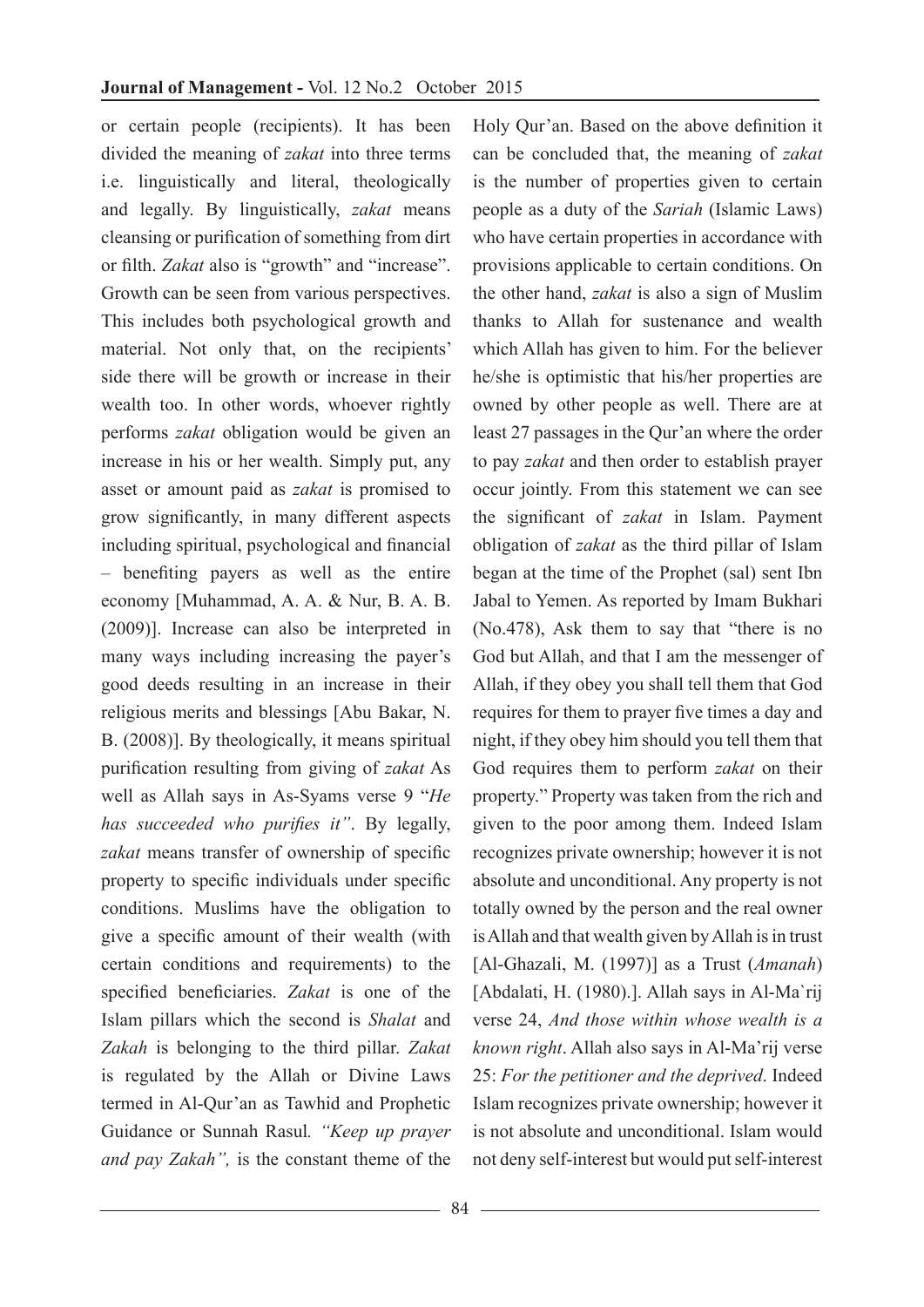or certain people (recipients). It has been divided the meaning of *zakat* into three terms i.e. linguistically and literal, theologically and legally. By linguistically, *zakat* means cleansing or purification of something from dirt or filth. *Zakat* also is "growth" and "increase". Growth can be seen from various perspectives. This includes both psychological growth and material. Not only that, on the recipients' side there will be growth or increase in their wealth too. In other words, whoever rightly performs *zakat* obligation would be given an increase in his or her wealth. Simply put, any asset or amount paid as *zakat* is promised to grow significantly, in many different aspects including spiritual, psychological and financial – benefiting payers as well as the entire economy [Muhammad, A. A. & Nur, B. A. B. (2009)]. Increase can also be interpreted in many ways including increasing the payer's good deeds resulting in an increase in their religious merits and blessings [Abu Bakar, N. B. (2008)]. By theologically, it means spiritual purification resulting from giving of *zakat* As well as Allah says in As-Syams verse 9 "*He has succeeded who purifies it"*. By legally, *zakat* means transfer of ownership of specific property to specific individuals under specific conditions. Muslims have the obligation to give a specific amount of their wealth (with certain conditions and requirements) to the specified beneficiaries. *Zakat* is one of the Islam pillars which the second is *Shalat* and *Zakah* is belonging to the third pillar. *Zakat* is regulated by the Allah or Divine Laws termed in Al-Qur'an as Tawhid and Prophetic Guidance or Sunnah Rasul*. "Keep up prayer and pay Zakah",* is the constant theme of the

Holy Qur'an. Based on the above definition it can be concluded that, the meaning of *zakat* is the number of properties given to certain people as a duty of the *Sariah* (Islamic Laws) who have certain properties in accordance with provisions applicable to certain conditions. On the other hand, *zakat* is also a sign of Muslim thanks to Allah for sustenance and wealth which Allah has given to him. For the believer he/she is optimistic that his/her properties are owned by other people as well. There are at least 27 passages in the Qur'an where the order to pay *zakat* and then order to establish prayer occur jointly. From this statement we can see the significant of *zakat* in Islam. Payment obligation of *zakat* as the third pillar of Islam began at the time of the Prophet (sal) sent Ibn Jabal to Yemen. As reported by Imam Bukhari (No.478), Ask them to say that "there is no God but Allah, and that I am the messenger of Allah, if they obey you shall tell them that God requires for them to prayer five times a day and night, if they obey him should you tell them that God requires them to perform *zakat* on their property." Property was taken from the rich and given to the poor among them. Indeed Islam recognizes private ownership; however it is not absolute and unconditional. Any property is not totally owned by the person and the real owner is Allah and that wealth given by Allah is in trust [Al-Ghazali, M. (1997)] as a Trust (*Amanah*) [Abdalati, H. (1980).]. Allah says in Al-Ma`rij verse 24, *And those within whose wealth is a known right*. Allah also says in Al-Ma'rij verse 25: *For the petitioner and the deprived*. Indeed Islam recognizes private ownership; however it is not absolute and unconditional. Islam would not deny self-interest but would put self-interest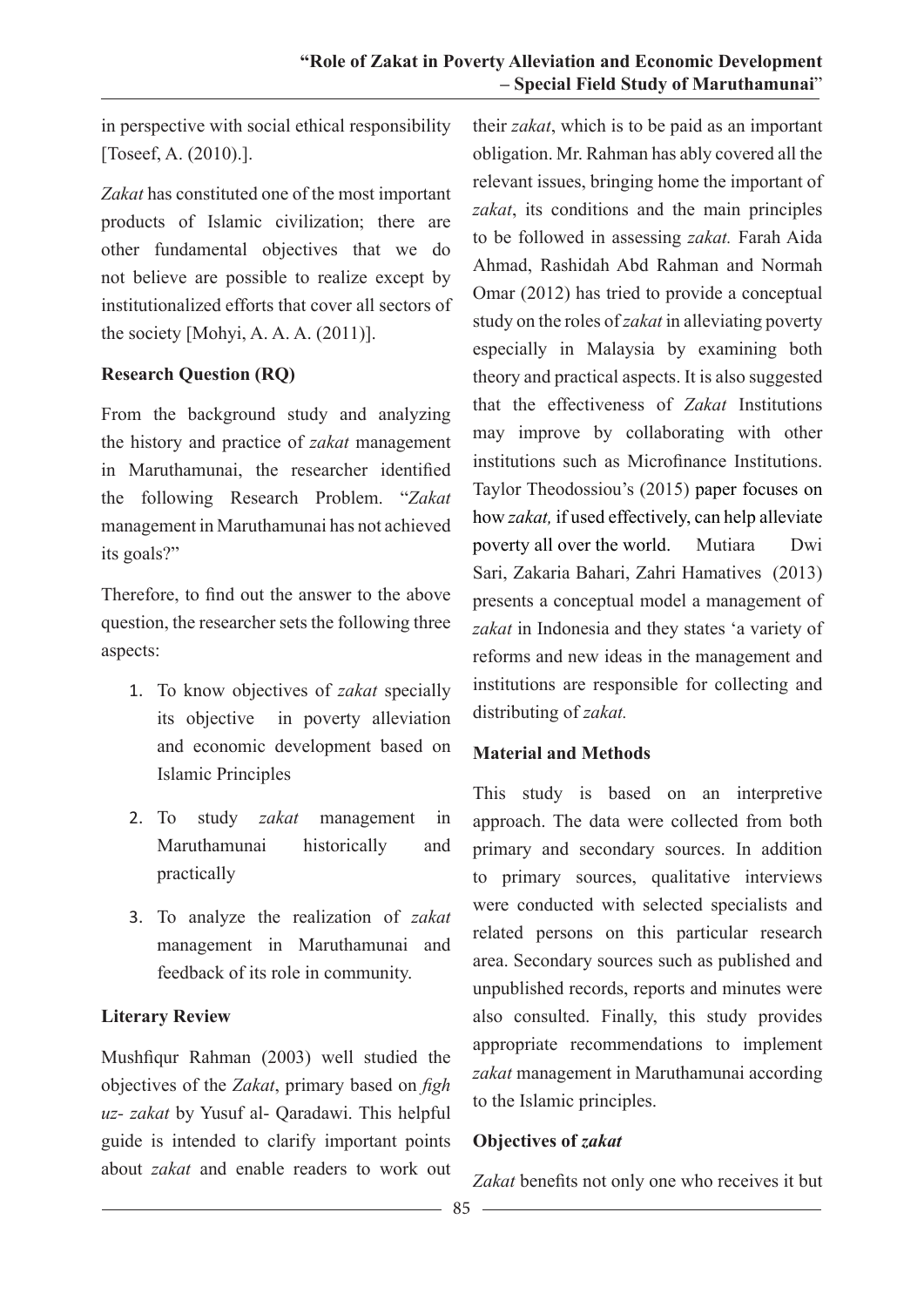in perspective with social ethical responsibility [Toseef, A. (2010).].

*Zakat* has constituted one of the most important products of Islamic civilization; there are other fundamental objectives that we do not believe are possible to realize except by institutionalized efforts that cover all sectors of the society [Mohyi, A. A. A. (2011)].

### **Research Question (RQ)**

From the background study and analyzing the history and practice of *zakat* management in Maruthamunai, the researcher identified the following Research Problem. "*Zakat* management in Maruthamunai has not achieved its goals?"

Therefore, to find out the answer to the above question, the researcher sets the following three aspects:

- 1. To know objectives of *zakat* specially its objective in poverty alleviation and economic development based on Islamic Principles
- 2. To study *zakat* management in Maruthamunai historically and practically
- 3. To analyze the realization of *zakat* management in Maruthamunai and feedback of its role in community.

### **Literary Review**

Mushfiqur Rahman (2003) well studied the objectives of the *Zakat*, primary based on *figh uz- zakat* by Yusuf al- Qaradawi. This helpful guide is intended to clarify important points about *zakat* and enable readers to work out

their *zakat*, which is to be paid as an important obligation. Mr. Rahman has ably covered all the relevant issues, bringing home the important of *zakat*, its conditions and the main principles to be followed in assessing *zakat.* Farah Aida Ahmad, Rashidah Abd Rahman and Normah Omar (2012) has tried to provide a conceptual study on the roles of *zakat* in alleviating poverty especially in Malaysia by examining both theory and practical aspects. It is also suggested that the effectiveness of *Zakat* Institutions may improve by collaborating with other institutions such as Microfinance Institutions. Taylor Theodossiou's (2015) paper focuses on how *zakat,* if used effectively, can help alleviate poverty all over the world. Mutiara Dwi Sari, Zakaria Bahari, Zahri Hamatives (2013) presents a conceptual model a management of *zakat* in Indonesia and they states 'a variety of reforms and new ideas in the management and institutions are responsible for collecting and distributing of *zakat.* 

### **Material and Methods**

This study is based on an interpretive approach. The data were collected from both primary and secondary sources. In addition to primary sources, qualitative interviews were conducted with selected specialists and related persons on this particular research area. Secondary sources such as published and unpublished records, reports and minutes were also consulted. Finally, this study provides appropriate recommendations to implement *zakat* management in Maruthamunai according to the Islamic principles.

### **Objectives of** *zakat*

*Zakat* benefits not only one who receives it but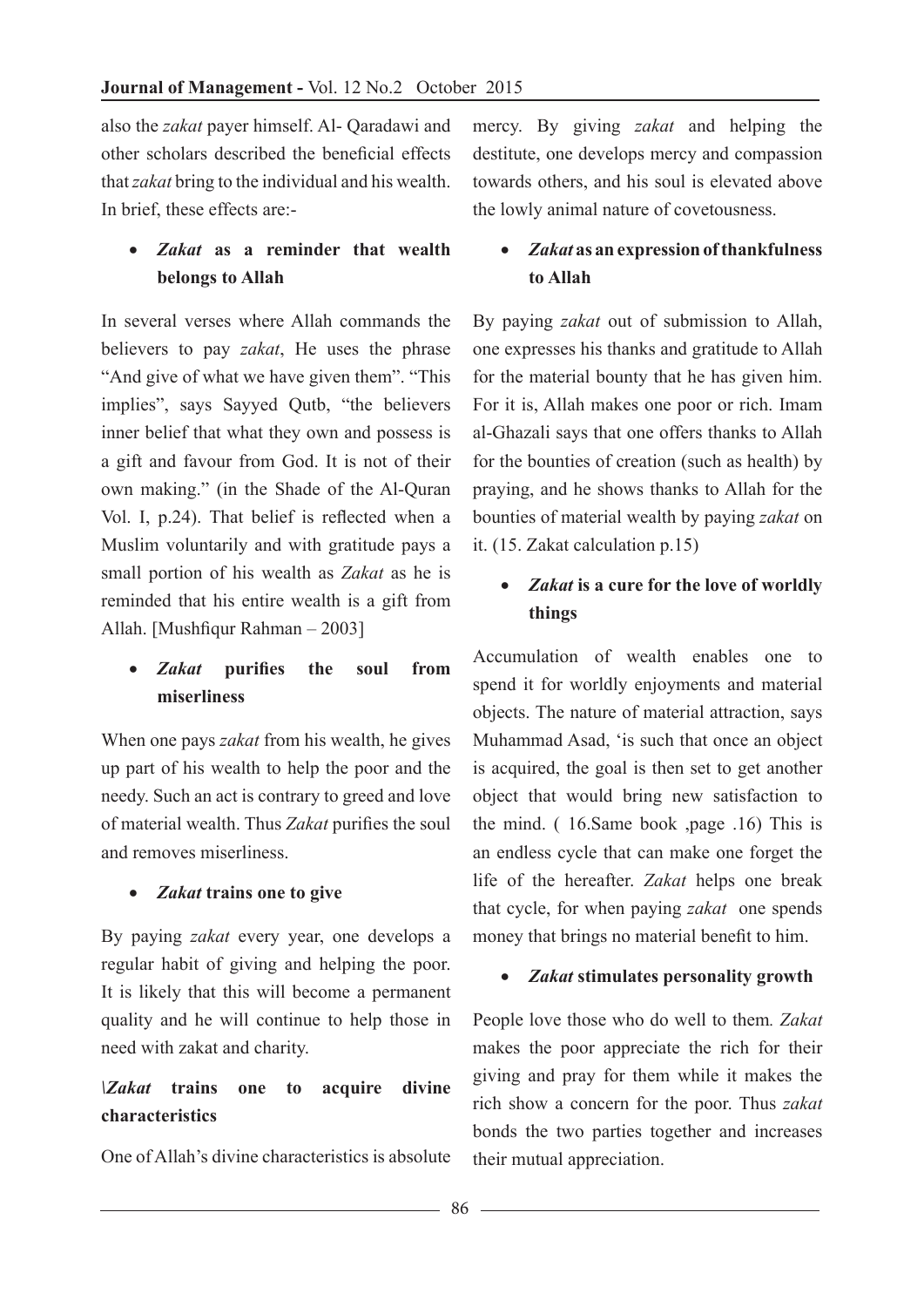also the *zakat* payer himself. Al- Qaradawi and other scholars described the beneficial effects that *zakat* bring to the individual and his wealth. In brief, these effects are:-

# • *Zakat* **as a reminder that wealth belongs to Allah**

In several verses where Allah commands the believers to pay *zakat*, He uses the phrase "And give of what we have given them". "This implies", says Sayyed Outb, "the believers inner belief that what they own and possess is a gift and favour from God. It is not of their own making." (in the Shade of the Al-Quran Vol. I, p.24). That belief is reflected when a Muslim voluntarily and with gratitude pays a small portion of his wealth as *Zakat* as he is reminded that his entire wealth is a gift from Allah. [Mushfiqur Rahman – 2003]

# • *Zakat* **purifies the soul from miserliness**

When one pays *zakat* from his wealth, he gives up part of his wealth to help the poor and the needy. Such an act is contrary to greed and love of material wealth. Thus *Zakat* purifies the soul and removes miserliness.

### • *Zakat* **trains one to give**

By paying *zakat* every year, one develops a regular habit of giving and helping the poor. It is likely that this will become a permanent quality and he will continue to help those in need with zakat and charity.

# *\Zakat* **trains one to acquire divine characteristics**

One of Allah's divine characteristics is absolute

mercy. By giving *zakat* and helping the destitute, one develops mercy and compassion towards others, and his soul is elevated above the lowly animal nature of covetousness.

# • *Zakat* **as an expression of thankfulness to Allah**

By paying *zakat* out of submission to Allah, one expresses his thanks and gratitude to Allah for the material bounty that he has given him. For it is, Allah makes one poor or rich. Imam al-Ghazali says that one offers thanks to Allah for the bounties of creation (such as health) by praying, and he shows thanks to Allah for the bounties of material wealth by paying *zakat* on it. (15. Zakat calculation p.15)

# Zakat is a cure for the love of worldly **things**

Accumulation of wealth enables one to spend it for worldly enjoyments and material objects. The nature of material attraction, says Muhammad Asad, 'is such that once an object is acquired, the goal is then set to get another object that would bring new satisfaction to the mind. ( 16.Same book ,page .16) This is an endless cycle that can make one forget the life of the hereafter. *Zakat* helps one break that cycle, for when paying *zakat* one spends money that brings no material benefit to him.

### • *Zakat* **stimulates personality growth**

People love those who do well to them*. Zakat*  makes the poor appreciate the rich for their giving and pray for them while it makes the rich show a concern for the poor. Thus *zakat*  bonds the two parties together and increases their mutual appreciation.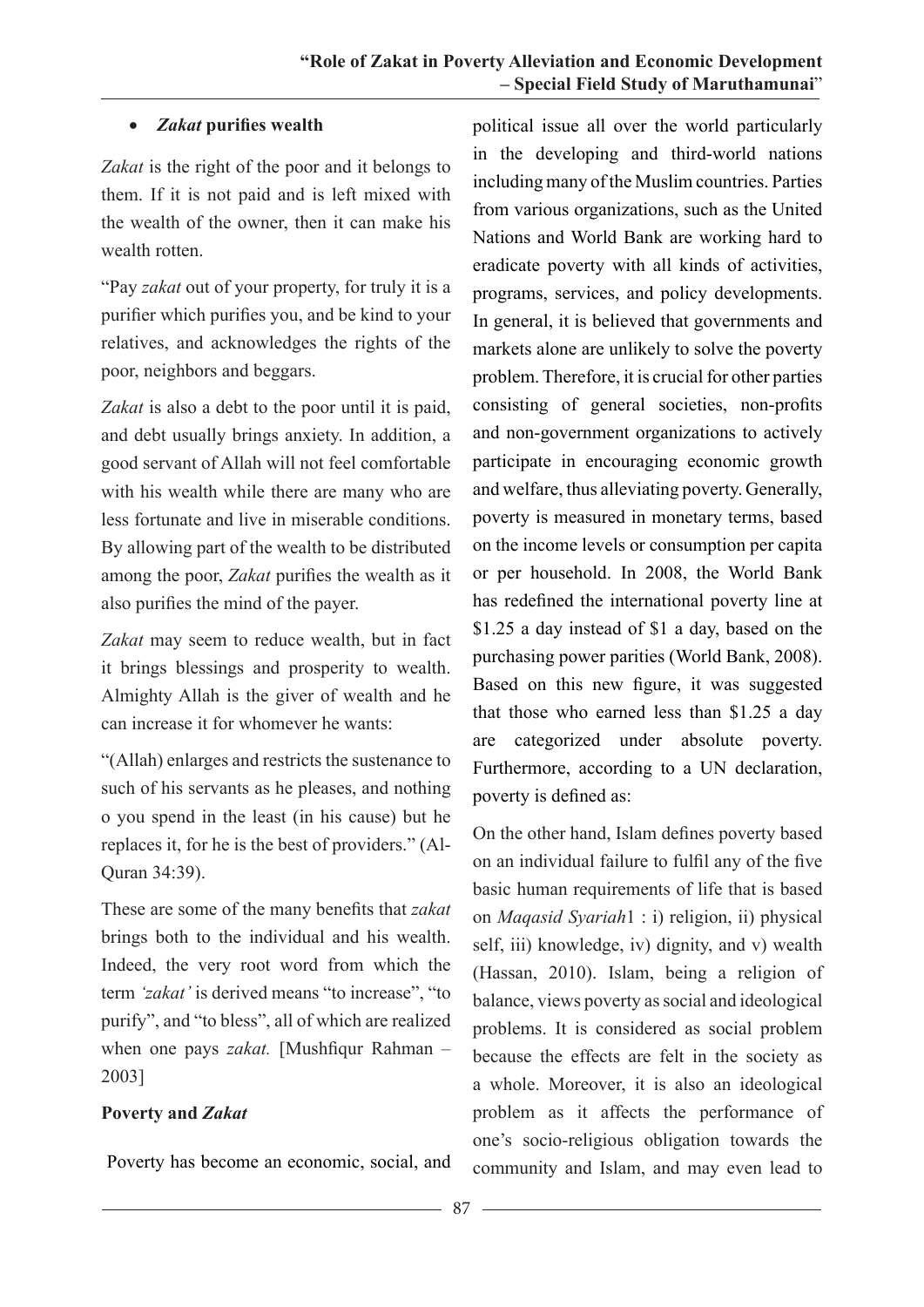## • *Zakat* **purifies wealth**

*Zakat* is the right of the poor and it belongs to them. If it is not paid and is left mixed with the wealth of the owner, then it can make his wealth rotten

"Pay *zakat* out of your property, for truly it is a purifier which purifies you, and be kind to your relatives, and acknowledges the rights of the poor, neighbors and beggars.

*Zakat* is also a debt to the poor until it is paid, and debt usually brings anxiety. In addition, a good servant of Allah will not feel comfortable with his wealth while there are many who are less fortunate and live in miserable conditions. By allowing part of the wealth to be distributed among the poor, *Zakat* purifies the wealth as it also purifies the mind of the payer.

*Zakat* may seem to reduce wealth, but in fact it brings blessings and prosperity to wealth. Almighty Allah is the giver of wealth and he can increase it for whomever he wants:

"(Allah) enlarges and restricts the sustenance to such of his servants as he pleases, and nothing o you spend in the least (in his cause) but he replaces it, for he is the best of providers." (Al-Quran 34:39).

These are some of the many benefits that *zakat* brings both to the individual and his wealth. Indeed, the very root word from which the term *'zakat'* is derived means "to increase", "to purify", and "to bless", all of which are realized when one pays *zakat.* [Mushfiqur Rahman – 2003]

### **Poverty and** *Zakat*

Poverty has become an economic, social, and

political issue all over the world particularly in the developing and third-world nations including many of the Muslim countries. Parties from various organizations, such as the United Nations and World Bank are working hard to eradicate poverty with all kinds of activities, programs, services, and policy developments. In general, it is believed that governments and markets alone are unlikely to solve the poverty problem. Therefore, it is crucial for other parties consisting of general societies, non-profits and non-government organizations to actively participate in encouraging economic growth and welfare, thus alleviating poverty. Generally, poverty is measured in monetary terms, based on the income levels or consumption per capita or per household. In 2008, the World Bank has redefined the international poverty line at \$1.25 a day instead of \$1 a day, based on the purchasing power parities (World Bank, 2008). Based on this new figure, it was suggested that those who earned less than \$1.25 a day are categorized under absolute poverty. Furthermore, according to a UN declaration, poverty is defined as:

On the other hand, Islam defines poverty based on an individual failure to fulfil any of the five basic human requirements of life that is based on *Maqasid Syariah*1 : i) religion, ii) physical self, iii) knowledge, iv) dignity, and v) wealth (Hassan, 2010). Islam, being a religion of balance, views poverty as social and ideological problems. It is considered as social problem because the effects are felt in the society as a whole. Moreover, it is also an ideological problem as it affects the performance of one's socio-religious obligation towards the community and Islam, and may even lead to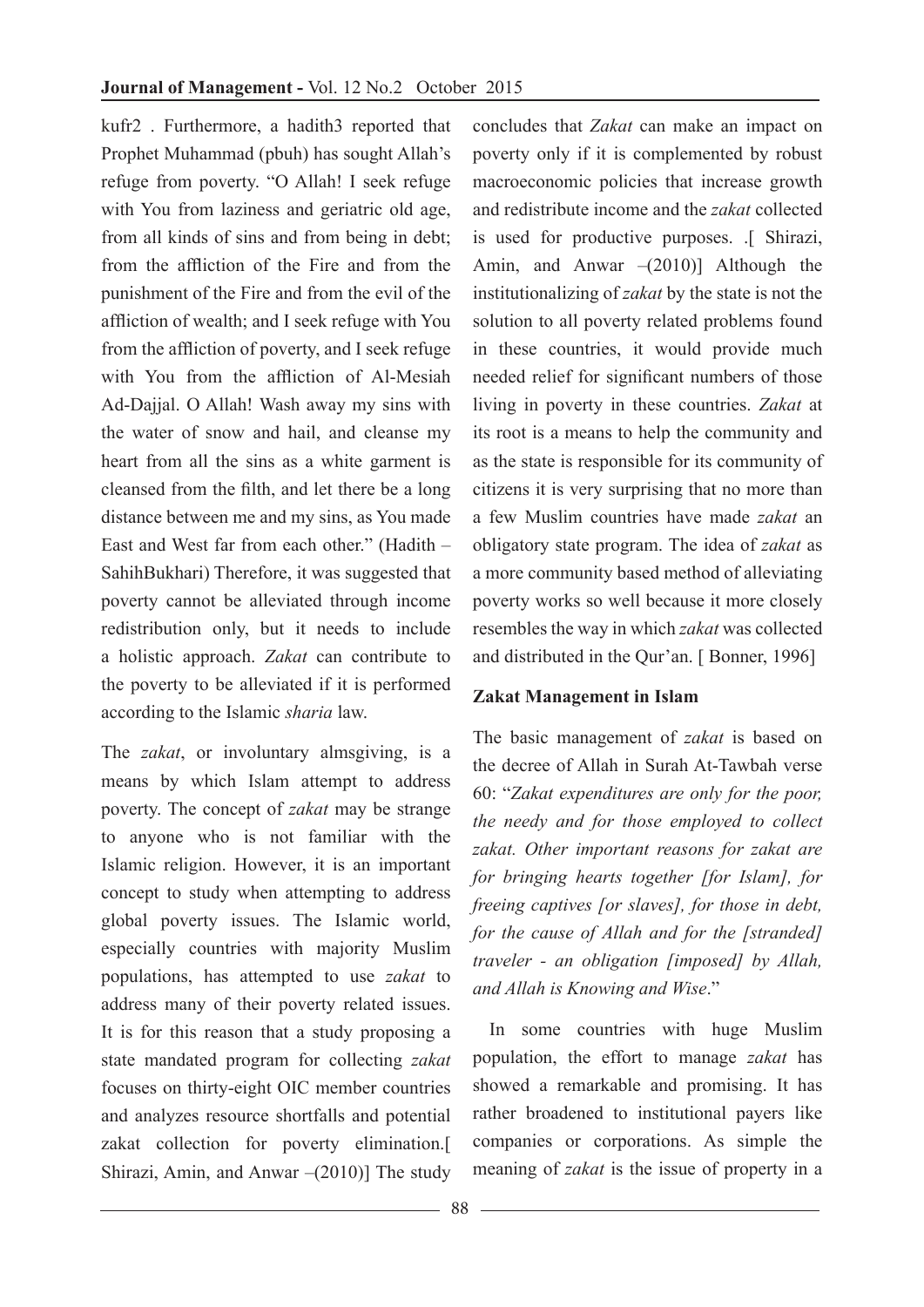kufr2 . Furthermore, a hadith3 reported that Prophet Muhammad (pbuh) has sought Allah's refuge from poverty. "O Allah! I seek refuge with You from laziness and geriatric old age, from all kinds of sins and from being in debt; from the affliction of the Fire and from the punishment of the Fire and from the evil of the affliction of wealth; and I seek refuge with You from the affliction of poverty, and I seek refuge with You from the affliction of Al-Mesiah Ad-Dajjal. O Allah! Wash away my sins with the water of snow and hail, and cleanse my heart from all the sins as a white garment is cleansed from the filth, and let there be a long distance between me and my sins, as You made East and West far from each other." (Hadith – SahihBukhari) Therefore, it was suggested that poverty cannot be alleviated through income redistribution only, but it needs to include a holistic approach. *Zakat* can contribute to the poverty to be alleviated if it is performed according to the Islamic *sharia* law.

The *zakat*, or involuntary almsgiving, is a means by which Islam attempt to address poverty. The concept of *zakat* may be strange to anyone who is not familiar with the Islamic religion. However, it is an important concept to study when attempting to address global poverty issues. The Islamic world, especially countries with majority Muslim populations, has attempted to use *zakat* to address many of their poverty related issues. It is for this reason that a study proposing a state mandated program for collecting *zakat* focuses on thirty-eight OIC member countries and analyzes resource shortfalls and potential zakat collection for poverty elimination.[ Shirazi, Amin, and Anwar –(2010)] The study

concludes that *Zakat* can make an impact on poverty only if it is complemented by robust macroeconomic policies that increase growth and redistribute income and the *zakat* collected is used for productive purposes. .[ Shirazi, Amin, and Anwar –(2010)] Although the institutionalizing of *zakat* by the state is not the solution to all poverty related problems found in these countries, it would provide much needed relief for significant numbers of those living in poverty in these countries. *Zakat* at its root is a means to help the community and as the state is responsible for its community of citizens it is very surprising that no more than a few Muslim countries have made *zakat* an obligatory state program. The idea of *zakat* as a more community based method of alleviating poverty works so well because it more closely resembles the way in which *zakat* was collected and distributed in the Qur'an. [ Bonner, 1996]

### **Zakat Management in Islam**

The basic management of *zakat* is based on the decree of Allah in Surah At-Tawbah verse 60: "*Zakat expenditures are only for the poor, the needy and for those employed to collect zakat. Other important reasons for zakat are for bringing hearts together [for Islam], for freeing captives [or slaves], for those in debt, for the cause of Allah and for the [stranded] traveler - an obligation [imposed] by Allah, and Allah is Knowing and Wise*."

 In some countries with huge Muslim population, the effort to manage *zakat* has showed a remarkable and promising. It has rather broadened to institutional payers like companies or corporations. As simple the meaning of *zakat* is the issue of property in a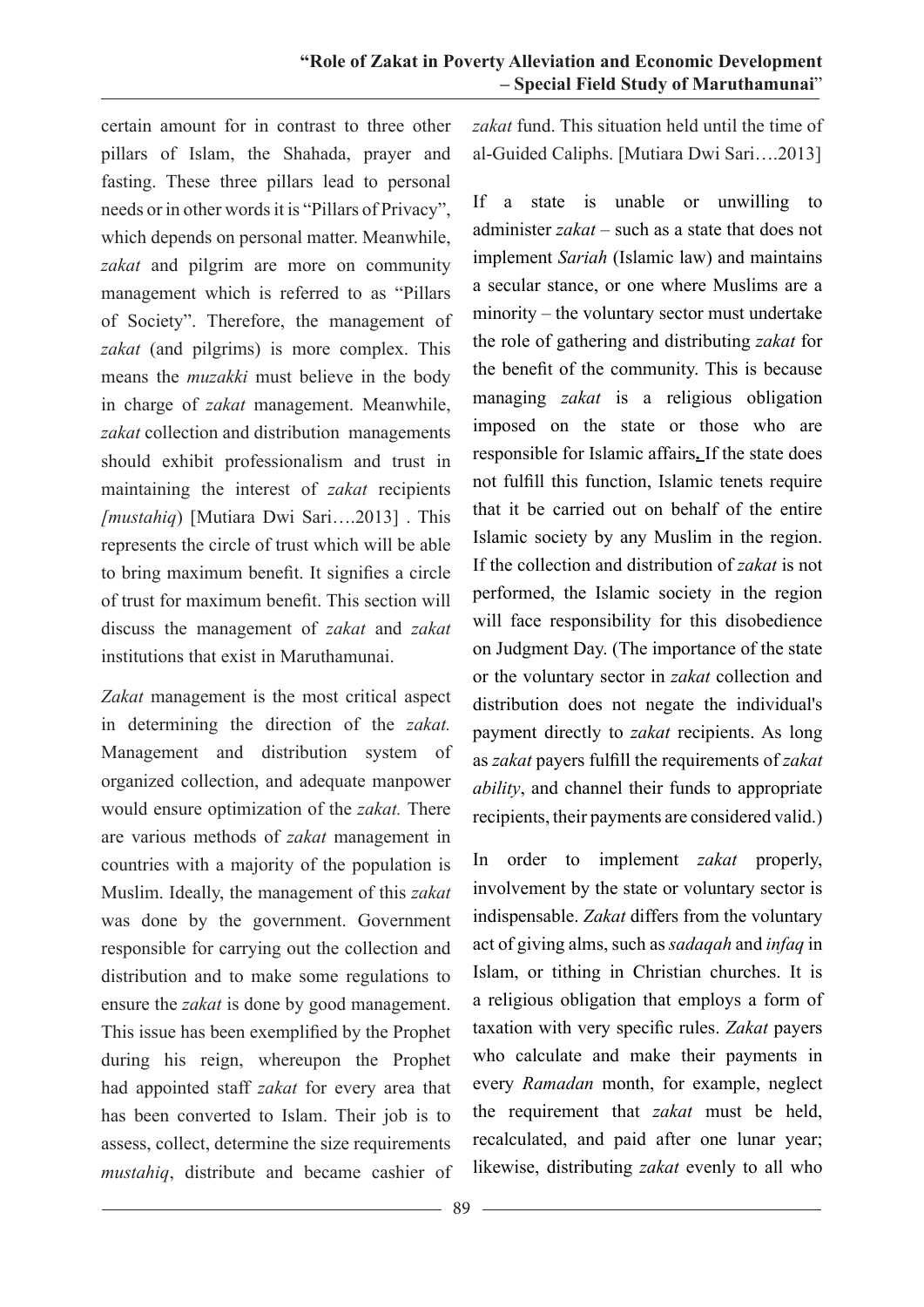certain amount for in contrast to three other pillars of Islam, the Shahada, prayer and fasting. These three pillars lead to personal needs or in other words it is "Pillars of Privacy", which depends on personal matter. Meanwhile, *zakat* and pilgrim are more on community management which is referred to as "Pillars of Society". Therefore, the management of *zakat* (and pilgrims) is more complex. This means the *muzakki* must believe in the body in charge of *zakat* management. Meanwhile, *zakat* collection and distribution managements should exhibit professionalism and trust in maintaining the interest of *zakat* recipients *[mustahiq*) [Mutiara Dwi Sari….2013] . This represents the circle of trust which will be able to bring maximum benefit. It signifies a circle of trust for maximum benefit. This section will discuss the management of *zakat* and *zakat*  institutions that exist in Maruthamunai.

*Zakat* management is the most critical aspect in determining the direction of the *zakat.* Management and distribution system of organized collection, and adequate manpower would ensure optimization of the *zakat.* There are various methods of *zakat* management in countries with a majority of the population is Muslim. Ideally, the management of this *zakat*  was done by the government. Government responsible for carrying out the collection and distribution and to make some regulations to ensure the *zakat* is done by good management. This issue has been exemplified by the Prophet during his reign, whereupon the Prophet had appointed staff *zakat* for every area that has been converted to Islam. Their job is to assess, collect, determine the size requirements *mustahiq*, distribute and became cashier of

*zakat* fund. This situation held until the time of al-Guided Caliphs. [Mutiara Dwi Sari….2013]

If a state is unable or unwilling to administer *zakat* – such as a state that does not implement *Sariah* (Islamic law) and maintains a secular stance, or one where Muslims are a minority – the voluntary sector must undertake the role of gathering and distributing *zakat* for the benefit of the community. This is because managing *zakat* is a religious obligation imposed on the state or those who are responsible for Islamic affairs**.** If the state does not fulfill this function, Islamic tenets require that it be carried out on behalf of the entire Islamic society by any Muslim in the region. If the collection and distribution of *zakat* is not performed, the Islamic society in the region will face responsibility for this disobedience on Judgment Day. (The importance of the state or the voluntary sector in *zakat* collection and distribution does not negate the individual's payment directly to *zakat* recipients. As long as *zakat* payers fulfill the requirements of *zakat ability*, and channel their funds to appropriate recipients, their payments are considered valid.)

In order to implement *zakat* properly, involvement by the state or voluntary sector is indispensable. *Zakat* differs from the voluntary act of giving alms, such as*sadaqah* and *infaq* in Islam, or tithing in Christian churches. It is a religious obligation that employs a form of taxation with very specific rules. *Zakat* payers who calculate and make their payments in every *Ramadan* month, for example, neglect the requirement that *zakat* must be held, recalculated, and paid after one lunar year; likewise, distributing *zakat* evenly to all who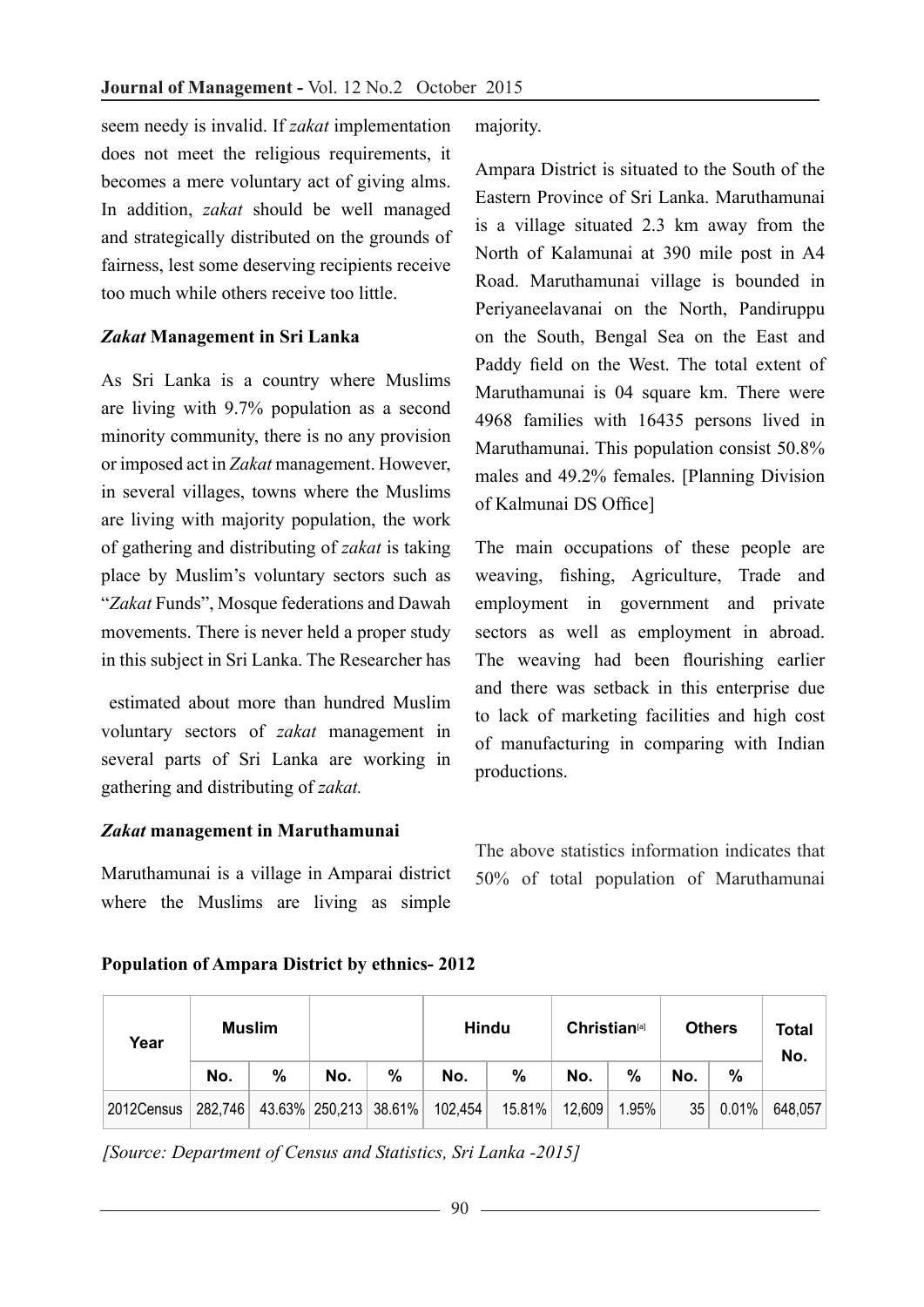seem needy is invalid. If *zakat* implementation does not meet the religious requirements, it becomes a mere voluntary act of giving alms. In addition, *zakat* should be well managed and strategically distributed on the grounds of fairness, lest some deserving recipients receive too much while others receive too little.

### *Zakat* **Management in Sri Lanka**

As Sri Lanka is a country where Muslims are living with 9.7% population as a second minority community, there is no any provision or imposed act in *Zakat* management. However, in several villages, towns where the Muslims are living with majority population, the work of gathering and distributing of *zakat* is taking place by Muslim's voluntary sectors such as "*Zakat* Funds", Mosque federations and Dawah movements. There is never held a proper study in this subject in Sri Lanka. The Researcher has

 estimated about more than hundred Muslim voluntary sectors of *zakat* management in several parts of Sri Lanka are working in gathering and distributing of *zakat.*

### *Zakat* **management in Maruthamunai**

Maruthamunai is a village in Amparai district where the Muslims are living as simple majority.

Ampara District is situated to the South of the Eastern Province of Sri Lanka. Maruthamunai is a village situated 2.3 km away from the North of Kalamunai at 390 mile post in A4 Road. Maruthamunai village is bounded in Periyaneelavanai on the North, Pandiruppu on the South, Bengal Sea on the East and Paddy field on the West. The total extent of Maruthamunai is 04 square km. There were 4968 families with 16435 persons lived in Maruthamunai. This population consist 50.8% males and 49.2% females. [Planning Division of Kalmunai DS Office]

The main occupations of these people are weaving, fishing, Agriculture, Trade and employment in government and private sectors as well as employment in abroad. The weaving had been flourishing earlier and there was setback in this enterprise due to lack of marketing facilities and high cost of manufacturing in comparing with Indian productions.

The above statistics information indicates that 50% of total population of Maruthamunai

### **Population of Ampara District by ethnics- 2012**

| Year       | <b>Muslim</b> |   |                       |               | <b>Hindu</b> |        | <b>Christian</b> <sup>[a]</sup> |       | <b>Others</b> | Total<br>No. |         |
|------------|---------------|---|-----------------------|---------------|--------------|--------|---------------------------------|-------|---------------|--------------|---------|
|            | No.           | % | No.                   | $\frac{0}{0}$ | No.          | $\%$   | No.                             | %     | No.           | %            |         |
| 2012Census | 282,746       |   | 43.63% 250,213 38.61% |               | 102,454      | 15.81% | 12,609                          | 1.95% | 35            | 0.01%        | 648,057 |

*[Source: Department of Census and Statistics, Sri Lanka -2015]*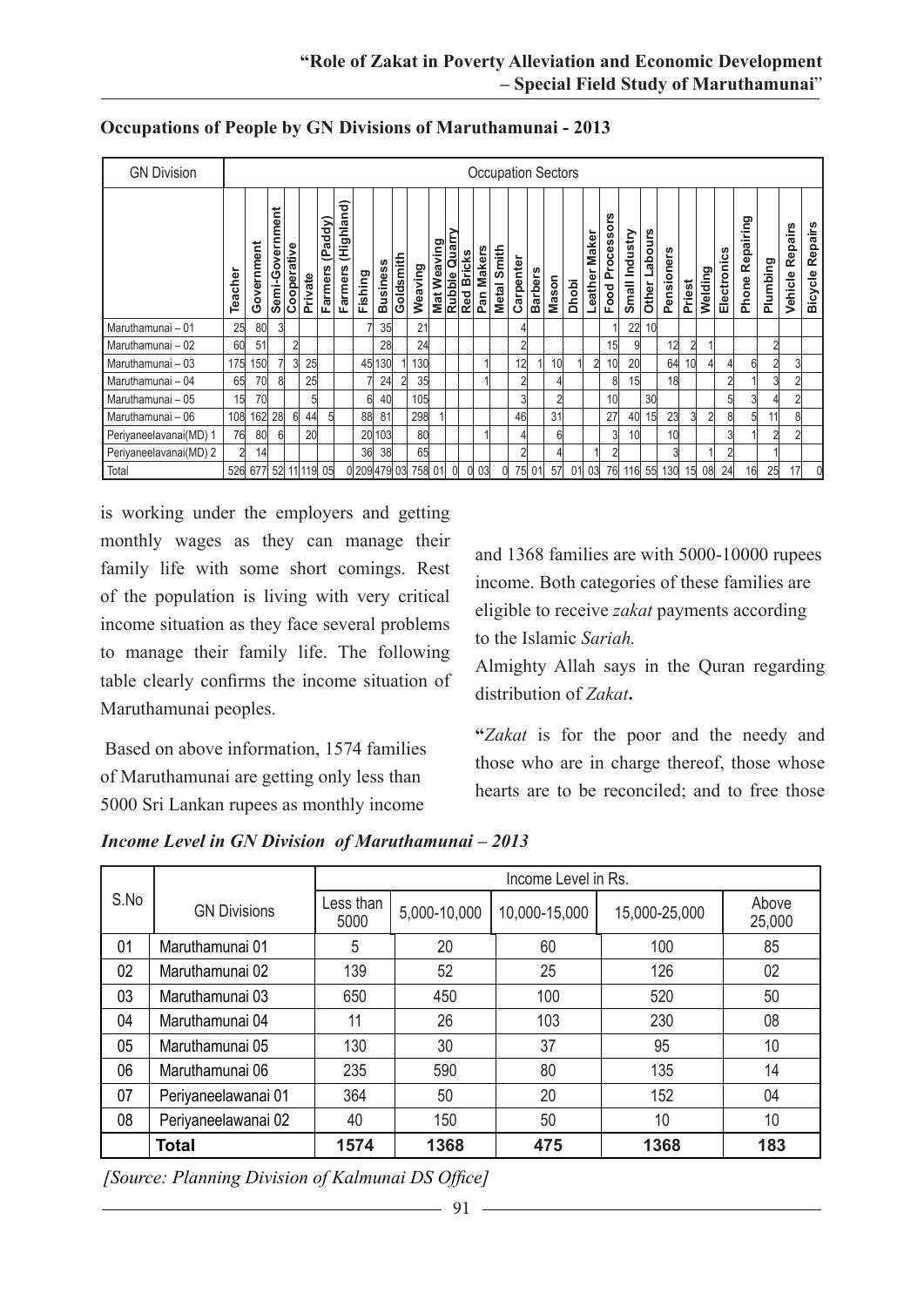| <b>GN Division</b>     |                |            |                 |                |         |                          |                       |              |                 |           |         |             |                                    |               |                                   |                    |           |                | <b>Occupation Sectors</b> |              |                 |                                      |                   |                 |                |                 |         |             |                         |                |                    |                                  |
|------------------------|----------------|------------|-----------------|----------------|---------|--------------------------|-----------------------|--------------|-----------------|-----------|---------|-------------|------------------------------------|---------------|-----------------------------------|--------------------|-----------|----------------|---------------------------|--------------|-----------------|--------------------------------------|-------------------|-----------------|----------------|-----------------|---------|-------------|-------------------------|----------------|--------------------|----------------------------------|
|                        | Teacher        | Government | Semi-Government | Cooperative    | Private | (Paddy<br><b>Farmers</b> | (Highland)<br>Farmers | Fishing      | <b>Business</b> | Goldsmith | Weaving | Mat Weaving | <b>Rubble Quarry</b><br>Red Bricks | <b>Bricks</b> | <b>Makers</b><br>Pan <sub>l</sub> | <b>Metal Smith</b> | Carpenter | <b>Barbers</b> | Mason                     | <b>Dhobi</b> | Maker<br>Leathe | <b>SJO</b><br><b>Process</b><br>Food | Industry<br>Small | abours<br>Other | ners<br>Pensio | Priest          | Welding | Electronics | ring<br>Repair<br>Phone | Plumbing       | Repairs<br>Vehicle | <b>Repairs</b><br><b>Bicycle</b> |
| Maruthamunai - 01      | 25             | 80         |                 |                |         |                          |                       |              | 35              |           | 21      |             |                                    |               |                                   |                    |           |                |                           |              |                 |                                      | 22                | 10              |                |                 |         |             |                         |                |                    |                                  |
| Maruthamunai - 02      | 60             | 51         |                 | $\overline{2}$ |         |                          |                       |              | 28              |           | 24      |             |                                    |               |                                   |                    |           |                |                           |              |                 | 15                                   | 9                 |                 | 12             | $\overline{2}$  |         |             |                         | $\overline{2}$ |                    |                                  |
| Maruthamunai - 03      | 175            | 150        |                 | 3              | 25      |                          |                       | 45           | 130             |           | 130     |             |                                    |               |                                   |                    | 12        |                | 10                        |              | $\overline{2}$  | 10 <sup>1</sup>                      | 20                |                 | 64             | 10 <sup>1</sup> | 41      | 4           | 6                       |                | 3                  |                                  |
| Maruthamunai - 04      | 65             | 70         | 8               |                | 25      |                          |                       |              | 24              | 2         | 35      |             |                                    |               |                                   |                    | 2         |                |                           |              |                 | 8                                    | 15                |                 | 18             |                 |         | 2           |                         |                | 2                  |                                  |
| Maruthamunai - 05      | 15             | 70         |                 |                | 5       |                          |                       | 6            | 40              |           | 105     |             |                                    |               |                                   |                    | 3         |                |                           |              |                 | 10                                   |                   | 30              |                |                 |         | 51          | 3                       |                | $\overline{2}$     |                                  |
| Maruthamunai - 06      | 108            | 162        | 28              | $6 \mid$       | 44      | 5                        |                       | 88           | 81              |           | 298     |             |                                    |               |                                   |                    | 46        |                | 31                        |              |                 | 27                                   | 40                | 15              | 23             | 3               | 2       | 8           | 5                       | 11             | 8                  |                                  |
| Periyaneelavanai(MD) 1 | 76             | 80         | 6               |                | 20      |                          |                       | 20           | 103             |           | 80      |             |                                    |               |                                   |                    |           |                | 6                         |              |                 | 3                                    | 10                |                 | 10             |                 |         | 31          |                         |                | 2                  |                                  |
| Periyaneelavanai(MD) 2 | $\overline{2}$ | 14         |                 |                |         |                          |                       | 36           | 38              |           | 65      |             |                                    |               |                                   |                    |           |                |                           |              |                 |                                      |                   |                 |                |                 |         |             |                         |                |                    |                                  |
| Total                  | 526            | 677        | 52              |                | 11 119  | 05                       |                       | 0 209 479 03 |                 |           | 758 01  |             | $\Omega$                           | $\Omega$      | 03                                | $\Omega$           | 75        | 01             | 57                        | 01           | 03              | 76                                   | 116               | 55              | 130            | 15              | 08      | 24          | 16                      | 25             | 17                 | $\Omega$                         |

#### **Occupations of People by GN Divisions of Maruthamunai - 2013**

is working under the employers and getting monthly wages as they can manage their family life with some short comings. Rest of the population is living with very critical income situation as they face several problems to manage their family life. The following table clearly confirms the income situation of Maruthamunai peoples.

Based on above information, 1574 families of Maruthamunai are getting only less than 5000 Sri Lankan rupees as monthly income and 1368 families are with 5000-10000 rupees income. Both categories of these families are eligible to receive *zakat* payments according to the Islamic *Sariah.*

Almighty Allah says in the Quran regarding distribution of *Zakat***.** 

**"***Zakat* is for the poor and the needy and those who are in charge thereof, those whose hearts are to be reconciled; and to free those

*Income Level in GN Division of Maruthamunai – 2013*

|      |                     |                   |              | Income Level in Rs. |               |                 |
|------|---------------------|-------------------|--------------|---------------------|---------------|-----------------|
| S.No | <b>GN Divisions</b> | Less than<br>5000 | 5,000-10,000 | 10,000-15,000       | 15,000-25,000 | Above<br>25,000 |
| 01   | Maruthamunai 01     | 5                 | 20           | 60                  | 100           | 85              |
| 02   | Maruthamunai 02     | 139               | 52           | 25                  | 126           | 02              |
| 03   | Maruthamunai 03     | 650               | 450          | 100                 | 520           | 50              |
| 04   | Maruthamunai 04     | 11                | 26           | 103                 | 230           | 08              |
| 05   | Maruthamunai 05     | 130               | 30           | 37                  | 95            | 10              |
| 06   | Maruthamunai 06     | 235               | 590          | 80                  | 135           | 14              |
| 07   | Periyaneelawanai 01 | 364               | 50           | 20                  | 152           | 04              |
| 08   | Periyaneelawanai 02 | 40                | 150          | 50                  | 10            | 10              |
|      | Total               | 1574              | 1368         | 475                 | 1368          | 183             |

*[Source: Planning Division of Kalmunai DS Office]*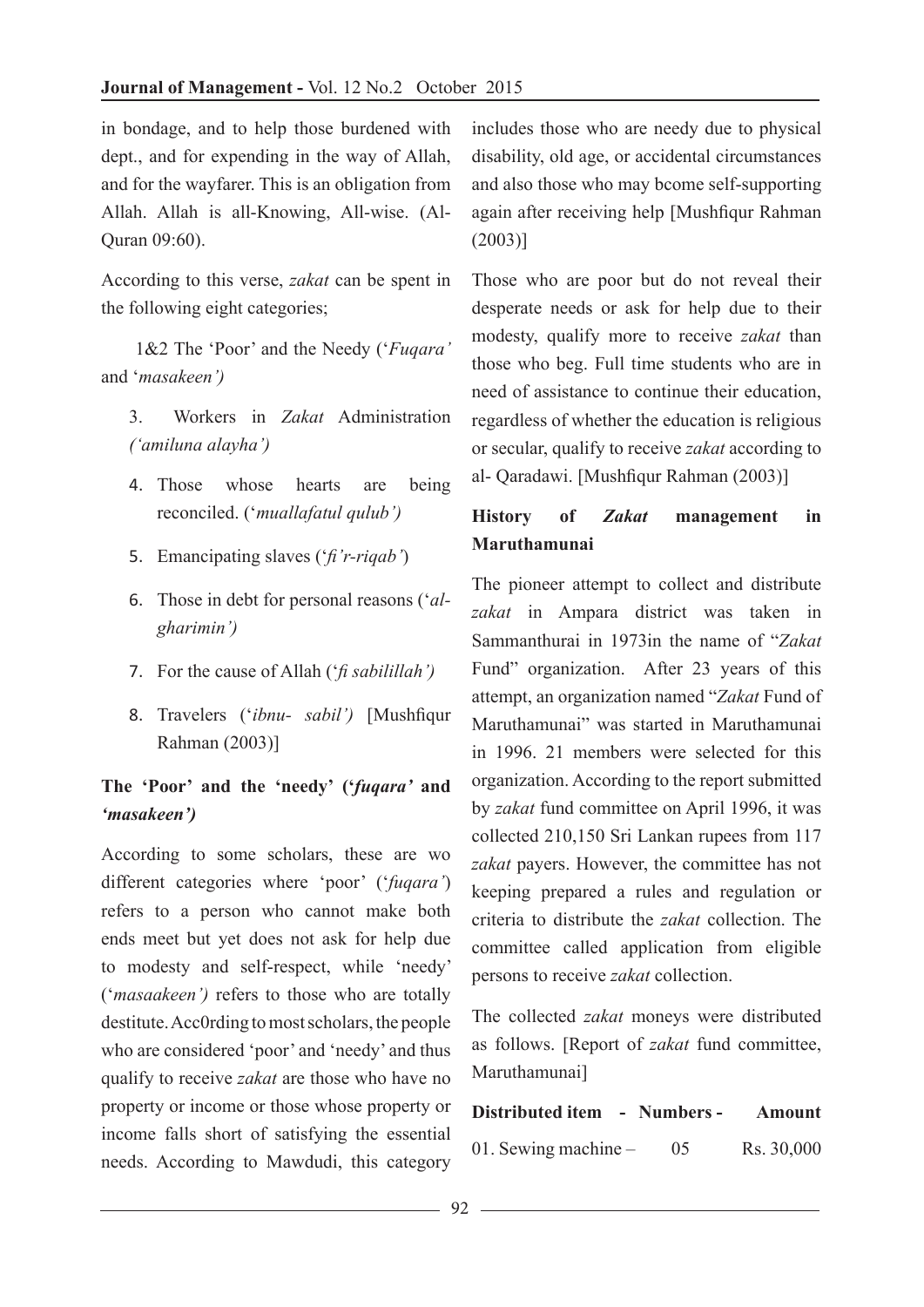in bondage, and to help those burdened with dept., and for expending in the way of Allah, and for the wayfarer. This is an obligation from Allah. Allah is all-Knowing, All-wise. (Al-Quran 09:60).

According to this verse, *zakat* can be spent in the following eight categories;

 1&2 The 'Poor' and the Needy ('*Fuqara'* and '*masakeen')*

3. Workers in *Zakat* Administration *('amiluna alayha')*

- 4. Those whose hearts are being reconciled. ('*muallafatul qulub')*
- 5. Emancipating slaves ('*fi'r-riqab'*)
- 6. Those in debt for personal reasons ('*algharimin')*
- 7. For the cause of Allah ('*fi sabilillah')*
- 8. Travelers ('*ibnu- sabil')* [Mushfiqur Rahman (2003)]

# **The 'Poor' and the 'needy' ('***fuqara'* **and** *'masakeen')*

According to some scholars, these are wo different categories where 'poor' ('*fuqara'*) refers to a person who cannot make both ends meet but yet does not ask for help due to modesty and self-respect, while 'needy' ('*masaakeen')* refers to those who are totally destitute. Acc0rding to most scholars, the people who are considered 'poor' and 'needy' and thus qualify to receive *zakat* are those who have no property or income or those whose property or income falls short of satisfying the essential needs. According to Mawdudi, this category

includes those who are needy due to physical disability, old age, or accidental circumstances and also those who may bcome self-supporting again after receiving help [Mushfiqur Rahman (2003)]

Those who are poor but do not reveal their desperate needs or ask for help due to their modesty, qualify more to receive *zakat* than those who beg. Full time students who are in need of assistance to continue their education, regardless of whether the education is religious or secular, qualify to receive *zakat* according to al- Qaradawi. [Mushfiqur Rahman (2003)]

# **History of** *Zakat* **management in Maruthamunai**

The pioneer attempt to collect and distribute *zakat* in Ampara district was taken in Sammanthurai in 1973in the name of "*Zakat* Fund" organization. After 23 years of this attempt, an organization named "*Zakat* Fund of Maruthamunai" was started in Maruthamunai in 1996. 21 members were selected for this organization. According to the report submitted by *zakat* fund committee on April 1996, it was collected 210,150 Sri Lankan rupees from 117 *zakat* payers. However, the committee has not keeping prepared a rules and regulation or criteria to distribute the *zakat* collection. The committee called application from eligible persons to receive *zakat* collection.

The collected *zakat* moneys were distributed as follows. [Report of *zakat* fund committee, Maruthamunai]

#### **Distributed item - Numbers - Amount**

01. Sewing machine – 05 Rs. 30,000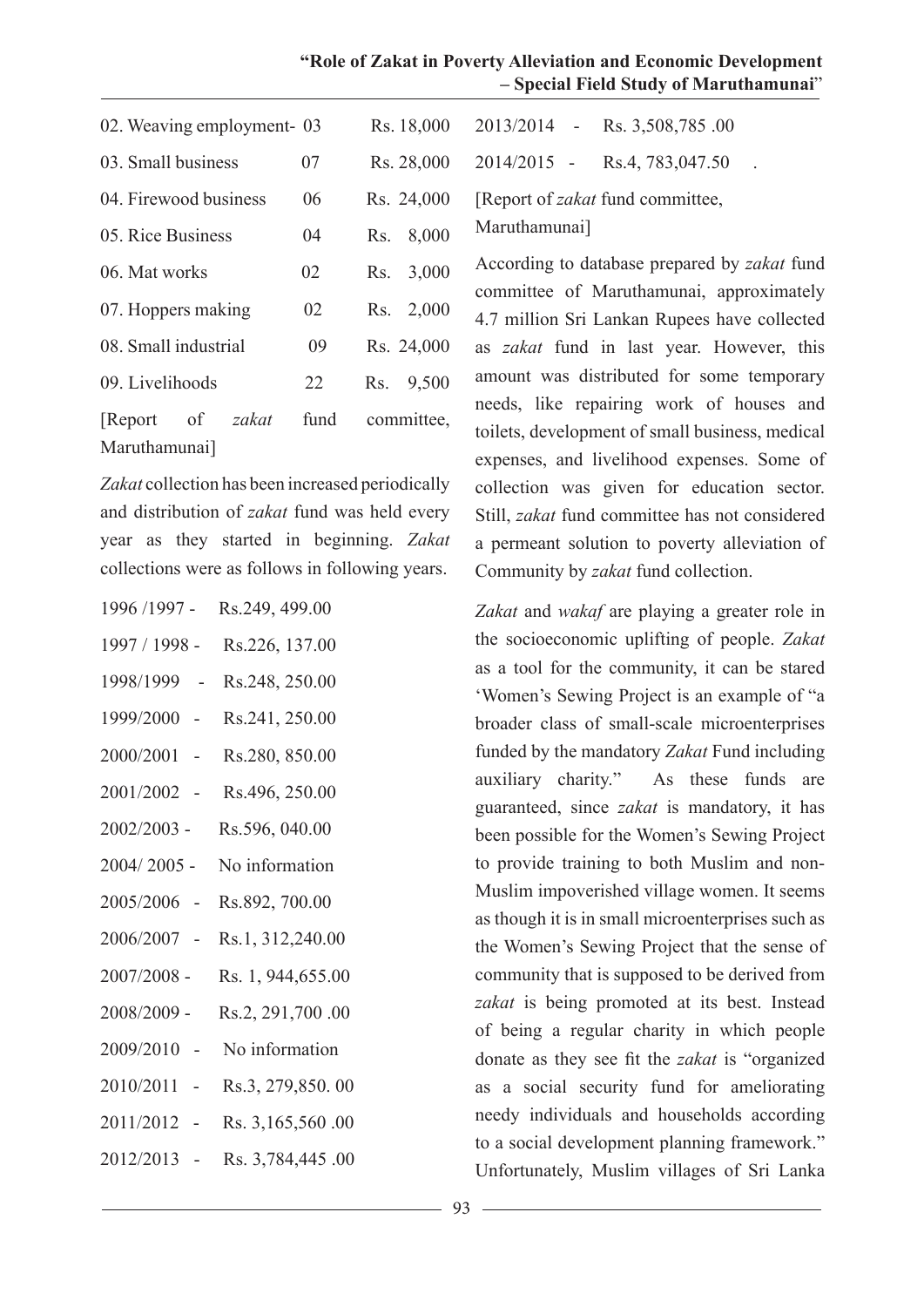| "Role of Zakat in Poverty Alleviation and Economic Development |                                        |  |
|----------------------------------------------------------------|----------------------------------------|--|
|                                                                | - Special Field Study of Maruthamunai" |  |

| 02. Weaving employment - 03            |      | Rs. 18,000   | 2013/2014 - Rs. 3,508,785.00                                          |
|----------------------------------------|------|--------------|-----------------------------------------------------------------------|
| 03. Small business                     | 07   | Rs. 28,000   | Rs.4, 783,047.50<br>$2014/2015 -$                                     |
| 04. Firewood business                  | 06   | Rs. 24,000   | [Report of <i>zakat</i> fund committee,                               |
| 05. Rice Business                      | 04   | Rs. 8,000    | Maruthamunai]                                                         |
| 06. Mat works                          | 02   | 3,000<br>Rs. | According to database prepared by                                     |
| 07. Hoppers making                     | 02   | 2,000<br>Rs. | committee of Maruthamunai, ap<br>4.7 million Sri Lankan Rupees ha     |
| 08. Small industrial                   | 09   | Rs. 24,000   | as <i>zakat</i> fund in last year. Ho                                 |
| 09. Livelihoods                        | 22   | 9,500<br>Rs. | amount was distributed for some                                       |
| of<br>zakat<br>Report<br>Maruthamunai] | fund | committee,   | needs, like repairing work of<br>toilets, development of small busine |
|                                        |      |              | $1 \quad 1 \quad 1 \quad 1 \quad 1$                                   |

*Zakat* collection has been increased periodically and distribution of *zakat* fund was held every year as they started in beginning. *Zakat*  collections were as follows in following years.

| 1996 /1997 -  | Rs.249, 499.00     |
|---------------|--------------------|
| 1997 / 1998 - | Rs.226, 137.00     |
| 1998/1999     | Rs.248, 250.00     |
| 1999/2000 -   | Rs.241, 250.00     |
| 2000/2001 -   | Rs.280, 850.00     |
| 2001/2002 -   | Rs.496, 250.00     |
| 2002/2003 -   | Rs.596, 040.00     |
| 2004/2005 -   | No information     |
| 2005/2006 -   | Rs.892, 700.00     |
| 2006/2007 -   | Rs.1, 312,240.00   |
| 2007/2008 -   | Rs. 1, 944, 655.00 |
| 2008/2009 -   | Rs.2, 291,700.00   |
| 2009/2010     | No information     |
| 2010/2011     | Rs.3, 279,850.00   |
| 2011/2012     | Rs. 3,165,560.00   |
| 2012/2013     | Rs. 3,784,445.00   |

ding to database prepared by *zakat* fund ittee of Maruthamunai, approximately llion Sri Lankan Rupees have collected *zat* fund in last year. However, this t was distributed for some temporary like repairing work of houses and development of small business, medical expenses, and livelihood expenses. Some of collection was given for education sector. Still, *zakat* fund committee has not considered a permeant solution to poverty alleviation of Community by *zakat* fund collection.

*Zakat* and *wakaf* are playing a greater role in the socioeconomic uplifting of people. *Zakat* as a tool for the community, it can be stared 'Women's Sewing Project is an example of "a broader class of small-scale microenterprises funded by the mandatory *Zakat* Fund including auxiliary charity." As these funds are guaranteed, since *zakat* is mandatory, it has been possible for the Women's Sewing Project to provide training to both Muslim and non-Muslim impoverished village women. It seems as though it is in small microenterprises such as the Women's Sewing Project that the sense of community that is supposed to be derived from *zakat* is being promoted at its best. Instead of being a regular charity in which people donate as they see fit the *zakat* is "organized as a social security fund for ameliorating needy individuals and households according to a social development planning framework." Unfortunately, Muslim villages of Sri Lanka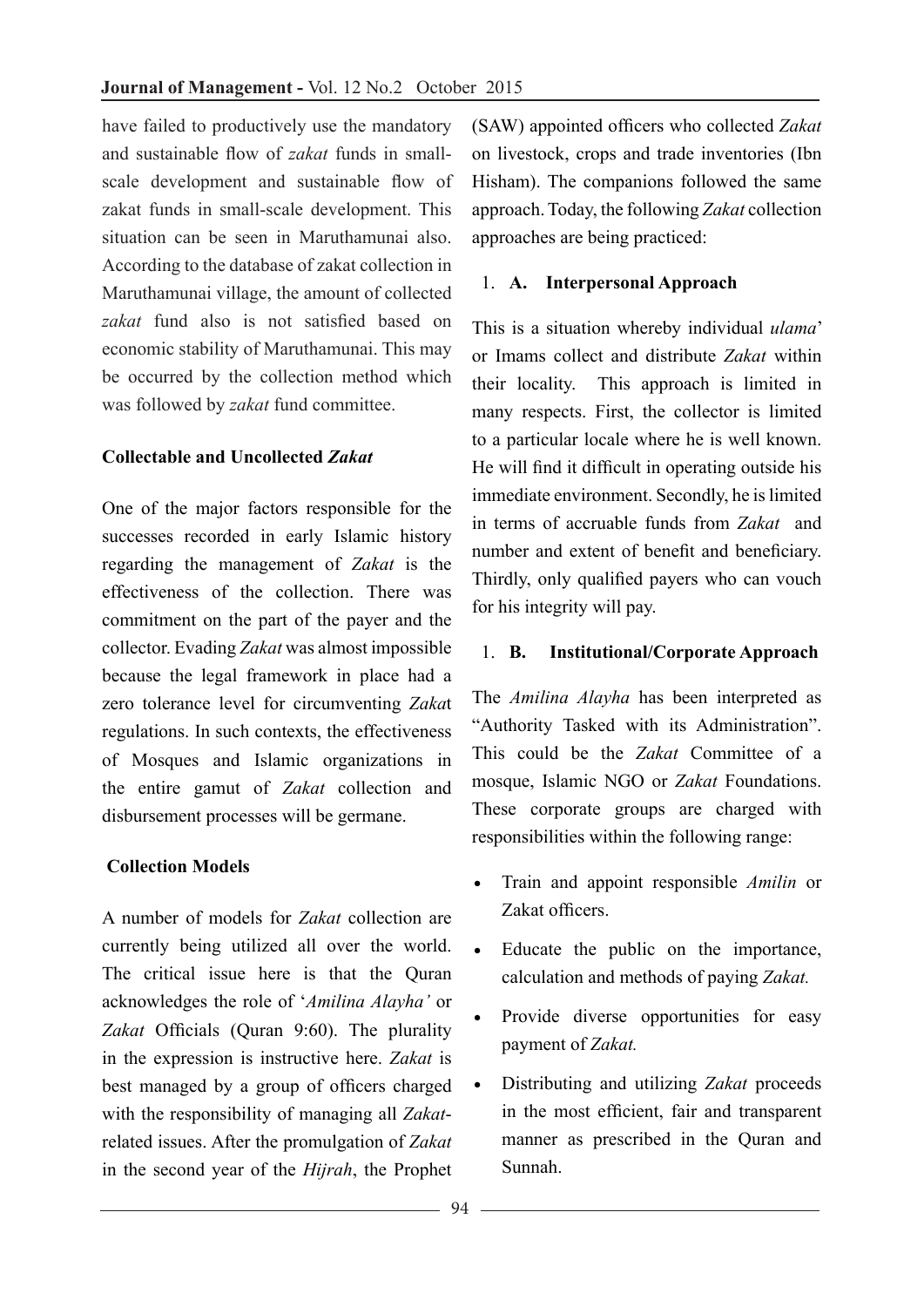have failed to productively use the mandatory and sustainable flow of *zakat* funds in smallscale development and sustainable flow of zakat funds in small-scale development. This situation can be seen in Maruthamunai also. According to the database of zakat collection in Maruthamunai village, the amount of collected *zakat* fund also is not satisfied based on economic stability of Maruthamunai. This may be occurred by the collection method which was followed by *zakat* fund committee.

#### **Collectable and Uncollected** *Zakat*

One of the major factors responsible for the successes recorded in early Islamic history regarding the management of *Zakat* is the effectiveness of the collection. There was commitment on the part of the payer and the collector. Evading *Zakat* was almost impossible because the legal framework in place had a zero tolerance level for circumventing *Zaka*t regulations. In such contexts, the effectiveness of Mosques and Islamic organizations in the entire gamut of *Zakat* collection and disbursement processes will be germane.

### **Collection Models**

A number of models for *Zakat* collection are currently being utilized all over the world. The critical issue here is that the Quran acknowledges the role of '*Amilina Alayha'* or *Zakat* Officials (Quran 9:60). The plurality in the expression is instructive here. *Zakat* is best managed by a group of officers charged with the responsibility of managing all *Zakat*related issues. After the promulgation of *Zakat* in the second year of the *Hijrah*, the Prophet

(SAW) appointed officers who collected *Zakat* on livestock, crops and trade inventories (Ibn Hisham). The companions followed the same approach. Today, the following *Zakat* collection approaches are being practiced:

### 1. **A. Interpersonal Approach**

This is a situation whereby individual *ulama*' or Imams collect and distribute *Zakat* within their locality. This approach is limited in many respects. First, the collector is limited to a particular locale where he is well known. He will find it difficult in operating outside his immediate environment. Secondly, he is limited in terms of accruable funds from *Zakat* and number and extent of benefit and beneficiary. Thirdly, only qualified payers who can vouch for his integrity will pay.

#### 1. **B. Institutional/Corporate Approach**

The *Amilina Alayha* has been interpreted as "Authority Tasked with its Administration". This could be the *Zakat* Committee of a mosque, Islamic NGO or *Zakat* Foundations. These corporate groups are charged with responsibilities within the following range:

- • Train and appoint responsible *Amilin* or Zakat officers.
- • Educate the public on the importance, calculation and methods of paying *Zakat.*
- • Provide diverse opportunities for easy payment of *Zakat.*
- • Distributing and utilizing *Zakat* proceeds in the most efficient, fair and transparent manner as prescribed in the Quran and Sunnah.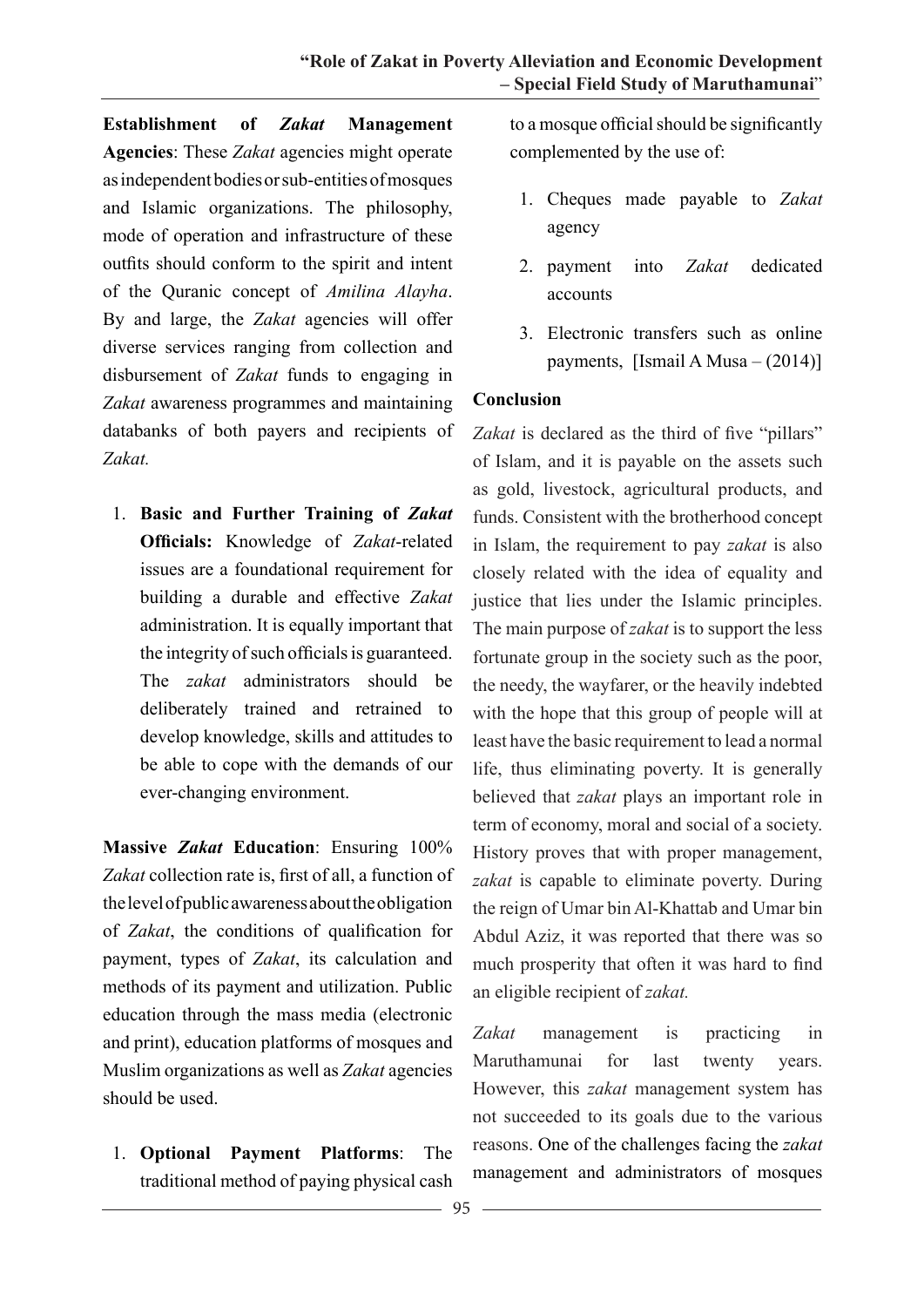**Establishment of** *Zakat* **Management Agencies**: These *Zakat* agencies might operate as independent bodies or sub-entities of mosques and Islamic organizations. The philosophy, mode of operation and infrastructure of these outfits should conform to the spirit and intent of the Quranic concept of *Amilina Alayha*. By and large, the *Zakat* agencies will offer diverse services ranging from collection and disbursement of *Zakat* funds to engaging in *Zakat* awareness programmes and maintaining databanks of both payers and recipients of *Zakat.*

1. **Basic and Further Training of** *Zakat* **Officials:** Knowledge of *Zakat*-related issues are a foundational requirement for building a durable and effective *Zakat* administration. It is equally important that the integrity of such officials is guaranteed. The *zakat* administrators should be deliberately trained and retrained to develop knowledge, skills and attitudes to be able to cope with the demands of our ever-changing environment.

**Massive** *Zakat* **Education**: Ensuring 100% *Zakat* collection rate is, first of all, a function of the level of public awareness about the obligation of *Zakat*, the conditions of qualification for payment, types of *Zakat*, its calculation and methods of its payment and utilization. Public education through the mass media (electronic and print), education platforms of mosques and Muslim organizations as well as *Zakat* agencies should be used.

1. **Optional Payment Platforms**: The traditional method of paying physical cash

to a mosque official should be significantly complemented by the use of:

- 1. Cheques made payable to *Zakat* agency
- 2. payment into *Zakat* dedicated accounts
- 3. Electronic transfers such as online payments, [Ismail A Musa  $- (2014)$ ]

#### **Conclusion**

Zakat is declared as the third of five "pillars" of Islam, and it is payable on the assets such as gold, livestock, agricultural products, and funds. Consistent with the brotherhood concept in Islam, the requirement to pay *zakat* is also closely related with the idea of equality and justice that lies under the Islamic principles. The main purpose of *zakat* is to support the less fortunate group in the society such as the poor, the needy, the wayfarer, or the heavily indebted with the hope that this group of people will at least have the basic requirement to lead a normal life, thus eliminating poverty. It is generally believed that *zakat* plays an important role in term of economy, moral and social of a society. History proves that with proper management, *zakat* is capable to eliminate poverty. During the reign of Umar bin Al-Khattab and Umar bin Abdul Aziz, it was reported that there was so much prosperity that often it was hard to find an eligible recipient of *zakat.*

Zakat management is practicing in Maruthamunai for last twenty years. However, this *zakat* management system has not succeeded to its goals due to the various reasons. One of the challenges facing the *zakat* management and administrators of mosques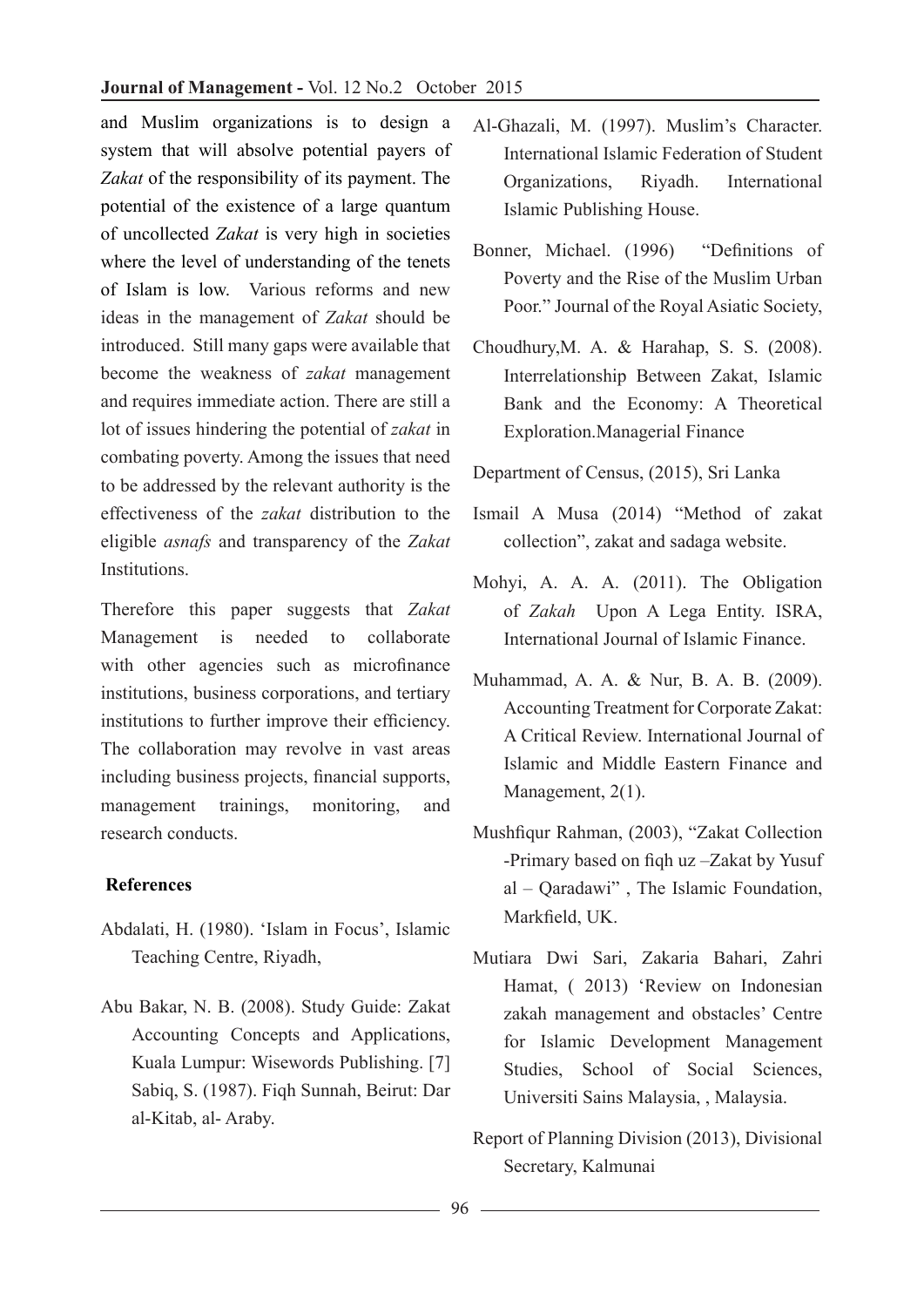and Muslim organizations is to design a system that will absolve potential payers of *Zakat* of the responsibility of its payment. The potential of the existence of a large quantum of uncollected *Zakat* is very high in societies where the level of understanding of the tenets of Islam is low. Various reforms and new ideas in the management of *Zakat* should be introduced. Still many gaps were available that become the weakness of *zakat* management and requires immediate action. There are still a lot of issues hindering the potential of *zakat* in combating poverty. Among the issues that need to be addressed by the relevant authority is the effectiveness of the *zakat* distribution to the eligible *asnafs* and transparency of the *Zakat*  **Institutions** 

Therefore this paper suggests that *Zakat* Management is needed to collaborate with other agencies such as microfinance institutions, business corporations, and tertiary institutions to further improve their efficiency. The collaboration may revolve in vast areas including business projects, financial supports, management trainings, monitoring, and research conducts.

### **References**

- Abdalati, H. (1980). 'Islam in Focus', Islamic Teaching Centre, Riyadh,
- Abu Bakar, N. B. (2008). Study Guide: Zakat Accounting Concepts and Applications, Kuala Lumpur: Wisewords Publishing. [7] Sabiq, S. (1987). Fiqh Sunnah, Beirut: Dar al-Kitab, al- Araby.
- Al-Ghazali, M. (1997). Muslim's Character. International Islamic Federation of Student Organizations, Riyadh. International Islamic Publishing House.
- Bonner, Michael. (1996) "Definitions of Poverty and the Rise of the Muslim Urban Poor." Journal of the Royal Asiatic Society,
- Choudhury,M. A. & Harahap, S. S. (2008). Interrelationship Between Zakat, Islamic Bank and the Economy: A Theoretical Exploration.Managerial Finance
- Department of Census, (2015), Sri Lanka
- Ismail A Musa (2014) "Method of zakat collection", zakat and sadaga website.
- Mohyi, A. A. A. (2011). The Obligation of *Zakah* Upon A Lega Entity. ISRA, International Journal of Islamic Finance.
- Muhammad, A. A. & Nur, B. A. B. (2009). Accounting Treatment for Corporate Zakat: A Critical Review. International Journal of Islamic and Middle Eastern Finance and Management, 2(1).
- Mushfiqur Rahman, (2003), "Zakat Collection -Primary based on fiqh uz –Zakat by Yusuf al – Qaradawi" , The Islamic Foundation, Markfield, UK.
- Mutiara Dwi Sari, Zakaria Bahari, Zahri Hamat, ( 2013) 'Review on Indonesian zakah management and obstacles' Centre for Islamic Development Management Studies, School of Social Sciences, Universiti Sains Malaysia, , Malaysia.
- Report of Planning Division (2013), Divisional Secretary, Kalmunai